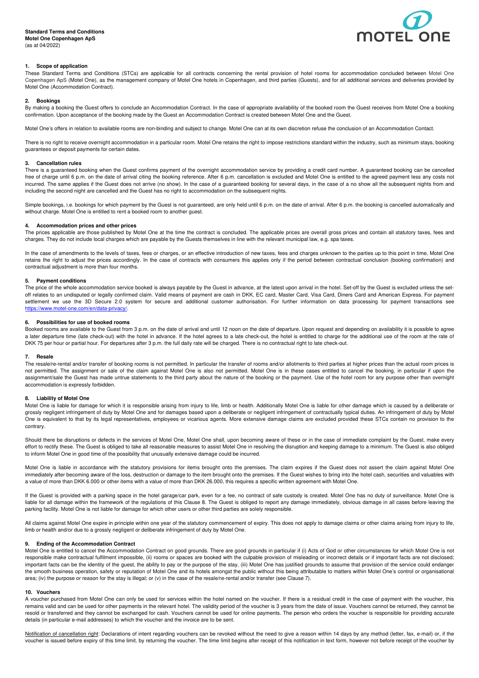

# **1. Scope of application**

These Standard Terms and Conditions (STCs) are applicable for all contracts concerning the rental provision of hotel rooms for accommodation concluded between Motel One Copenhagen ApS (Motel One), as the management company of Motel One hotels in Copenhagen, and third parties (Guests), and for all additional services and deliveries provided by Motel One (Accommodation Contract).

## **2. Bookings**

By making a booking the Guest offers to conclude an Accommodation Contract. In the case of appropriate availability of the booked room the Guest receives from Motel One a booking confirmation. Upon acceptance of the booking made by the Guest an Accommodation Contract is created between Motel One and the Guest.

Motel One's offers in relation to available rooms are non-binding and subject to change. Motel One can at its own discretion refuse the conclusion of an Accommodation Contact.

There is no right to receive overnight accommodation in a particular room. Motel One retains the right to impose restrictions standard within the industry, such as minimum stays, booking guarantees or deposit payments for certain dates.

# **3. Cancellation rules**

There is a guaranteed booking when the Guest confirms payment of the overnight accommodation service by providing a credit card number. A guaranteed booking can be cancelled free of charge until 6 p.m. on the date of arrival citing the booking reference. After 6 p.m. cancellation is excluded and Motel One is entitled to the agreed payment less any costs not incurred. The same applies if the Guest does not arrive (no show). In the case of a guaranteed booking for several days, in the case of a no show all the subsequent nights from and including the second night are cancelled and the Guest has no right to accommodation on the subsequent nights.

Simple bookings, i.e. bookings for which payment by the Guest is not guaranteed, are only held until 6 p.m. on the date of arrival. After 6 p.m. the booking is cancelled automatically and without charge. Motel One is entitled to rent a booked room to another guest.

### **4. Accommodation prices and other prices**

The prices applicable are those published by Motel One at the time the contract is concluded. The applicable prices are overall gross prices and contain all statutory taxes, fees and charges. They do not include local charges which are payable by the Guests themselves in line with the relevant municipal law, e.g. spa taxes.

In the case of amendments to the levels of taxes, fees or charges, or an effective introduction of new taxes, fees and charges unknown to the parties up to this point in time, Motel One retains the right to adjust the prices accordingly. In the case of contracts with consumers this applies only if the period between contractual conclusion (booking confirmation) and contractual adjustment is more than four months.

# **5. Payment conditions**

The price of the whole accommodation service booked is always payable by the Guest in advance, at the latest upon arrival in the hotel. Set-off by the Guest is excluded unless the setoff relates to an undisputed or legally confirmed claim. Valid means of payment are cash in DKK, EC card, Master Card, Visa Card, Diners Card and American Express. For payment settlement we use the 3D Secure 2.0 system for secure and additional customer authorisation. For further information on data processing for payment transactions see https://www.motel-one.com/en/data-privacy/.

#### **6. Possibilities for use of booked rooms**

Booked rooms are available to the Guest from 3 p.m. on the date of arrival and until 12 noon on the date of departure. Upon request and depending on availability it is possible to agree a later departure time (late check-out) with the hotel in advance. If the hotel agrees to a late check-out, the hotel is entitled to charge for the additional use of the room at the rate of DKK 75 per hour or partial hour. For departures after 3 p.m. the full daily rate will be charged. There is no contractual right to late check-out.

#### **7. Resale**

The resale/re-rental and/or transfer of booking rooms is not permitted. In particular the transfer of rooms and/or allotments to third parties at higher prices than the actual room prices is not permitted. The assignment or sale of the claim against Motel One is also not permitted. Motel One is in these cases entitled to cancel the booking, in particular if upon the assignment/sale the Guest has made untrue statements to the third party about the nature of the booking or the payment. Use of the hotel room for any purpose other than overnight accommodation is expressly forbidden.

## **8. Liability of Motel One**

Motel One is liable for damage for which it is responsible arising from injury to life, limb or health. Additionally Motel One is liable for other damage which is caused by a deliberate or grossly negligent infringement of duty by Motel One and for damages based upon a deliberate or negligent infringement of contractually typical duties. An infringement of duty by Motel One is equivalent to that by its legal representatives, employees or vicarious agents. More extensive damage claims are excluded provided these STCs contain no provision to the contrary.

Should there be disruptions or defects in the services of Motel One, Motel One shall, upon becoming aware of these or in the case of immediate complaint by the Guest, make every effort to rectify these. The Guest is obliged to take all reasonable measures to assist Motel One in resolving the disruption and keeping damage to a minimum. The Guest is also obliged to inform Motel One in good time of the possibility that unusually extensive damage could be incurred.

Motel One is liable in accordance with the statutory provisions for items brought onto the premises. The claim expires if the Guest does not assert the claim against Motel One immediately after becoming aware of the loss, destruction or damage to the item brought onto the premises. If the Guest wishes to bring into the hotel cash, securities and valuables with a value of more than DKK 6.000 or other items with a value of more than DKK 26.000, this requires a specific written agreement with Motel One.

If the Guest is provided with a parking space in the hotel garage/car park, even for a fee, no contract of safe custody is created. Motel One has no duty of surveillance. Motel One is liable for all damage within the framework of the regulations of this Clause 8. The Guest is obliged to report any damage immediately, obvious damage in all cases before leaving the parking facility. Motel One is not liable for damage for which other users or other third parties are solely responsible.

All claims against Motel One expire in principle within one year of the statutory commencement of expiry. This does not apply to damage claims or other claims arising from injury to life, limb or health and/or due to a grossly negligent or deliberate infringement of duty by Motel One.

## **9. Ending of the Accommodation Contract**

Motel One is entitled to cancel the Accommodation Contract on good grounds. There are good grounds in particular if (i) Acts of God or other circumstances for which Motel One is not responsible make contractual fulfilment impossible, (ii) rooms or spaces are booked with the culpable provision of misleading or incorrect details or if important facts are not disclosed; important facts can be the identity of the guest, the ability to pay or the purpose of the stay, (iii) Motel One has justified grounds to assume that provision of the service could endanger the smooth business operation, safety or reputation of Motel One and its hotels amongst the public without this being attributable to matters within Motel One's control or organisational area; (iv) the purpose or reason for the stay is illegal; or (v) in the case of the resale/re-rental and/or transfer (see Clause 7).

#### **10. Vouchers**

A voucher purchased from Motel One can only be used for services within the hotel named on the voucher. If there is a residual credit in the case of payment with the voucher, this remains valid and can be used for other payments in the relevant hotel. The validity period of the voucher is 3 years from the date of issue. Vouchers cannot be returned, they cannot be resold or transferred and they cannot be exchanged for cash. Vouchers cannot be used for online payments. The person who orders the voucher is responsible for providing accurate details (in particular e-mail addresses) to which the voucher and the invoice are to be sent.

Notification of cancellation right: Declarations of intent regarding vouchers can be revoked without the need to give a reason within 14 days by any method (letter, fax, e-mail) or, if the voucher is issued before expiry of this time limit, by returning the voucher. The time limit begins after receipt of this notification in text form, however not before receipt of the voucher by